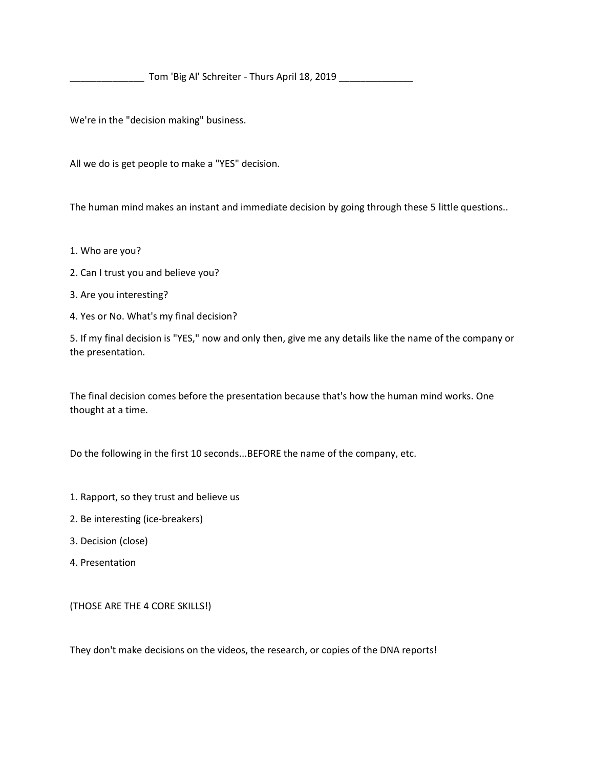We're in the "decision making" business.

All we do is get people to make a "YES" decision.

The human mind makes an instant and immediate decision by going through these 5 little questions..

- 1. Who are you?
- 2. Can I trust you and believe you?
- 3. Are you interesting?
- 4. Yes or No. What's my final decision?

5. If my final decision is "YES," now and only then, give me any details like the name of the company or the presentation.

The final decision comes before the presentation because that's how the human mind works. One thought at a time.

Do the following in the first 10 seconds...BEFORE the name of the company, etc.

- 1. Rapport, so they trust and believe us
- 2. Be interesting (ice-breakers)
- 3. Decision (close)
- 4. Presentation

(THOSE ARE THE 4 CORE SKILLS!)

They don't make decisions on the videos, the research, or copies of the DNA reports!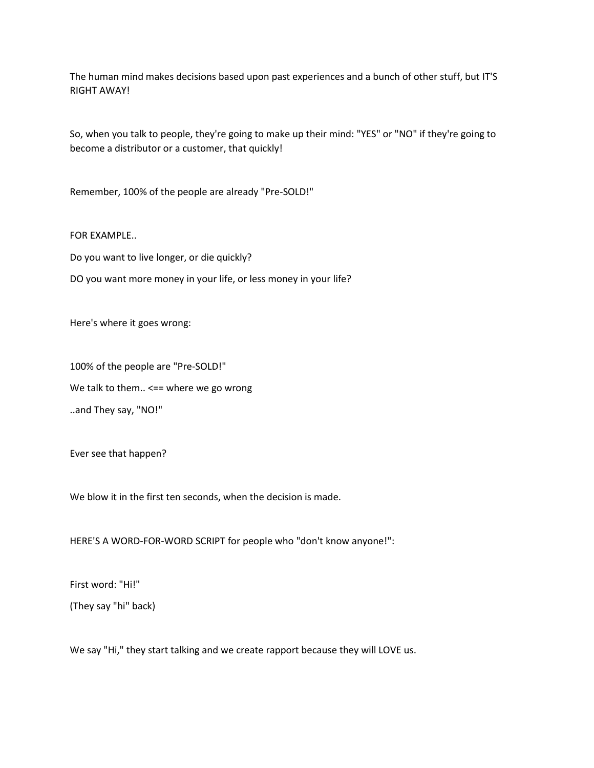The human mind makes decisions based upon past experiences and a bunch of other stuff, but IT'S RIGHT AWAY!

So, when you talk to people, they're going to make up their mind: "YES" or "NO" if they're going to become a distributor or a customer, that quickly!

Remember, 100% of the people are already "Pre-SOLD!"

FOR EXAMPLE..

Do you want to live longer, or die quickly?

DO you want more money in your life, or less money in your life?

Here's where it goes wrong:

100% of the people are "Pre-SOLD!" We talk to them.. <== where we go wrong ..and They say, "NO!"

Ever see that happen?

We blow it in the first ten seconds, when the decision is made.

HERE'S A WORD-FOR-WORD SCRIPT for people who "don't know anyone!":

First word: "Hi!" (They say "hi" back)

We say "Hi," they start talking and we create rapport because they will LOVE us.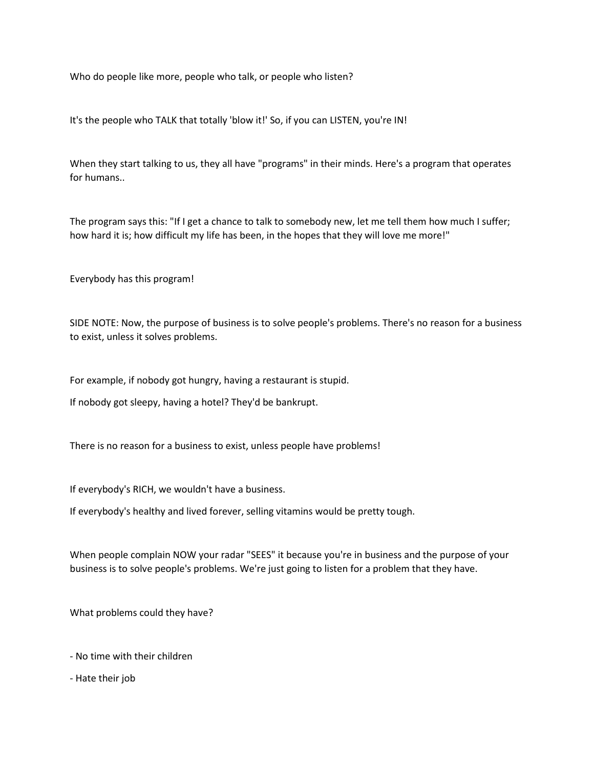Who do people like more, people who talk, or people who listen?

It's the people who TALK that totally 'blow it!' So, if you can LISTEN, you're IN!

When they start talking to us, they all have "programs" in their minds. Here's a program that operates for humans..

The program says this: "If I get a chance to talk to somebody new, let me tell them how much I suffer; how hard it is; how difficult my life has been, in the hopes that they will love me more!"

Everybody has this program!

SIDE NOTE: Now, the purpose of business is to solve people's problems. There's no reason for a business to exist, unless it solves problems.

For example, if nobody got hungry, having a restaurant is stupid.

If nobody got sleepy, having a hotel? They'd be bankrupt.

There is no reason for a business to exist, unless people have problems!

If everybody's RICH, we wouldn't have a business.

If everybody's healthy and lived forever, selling vitamins would be pretty tough.

When people complain NOW your radar "SEES" it because you're in business and the purpose of your business is to solve people's problems. We're just going to listen for a problem that they have.

What problems could they have?

- No time with their children

- Hate their job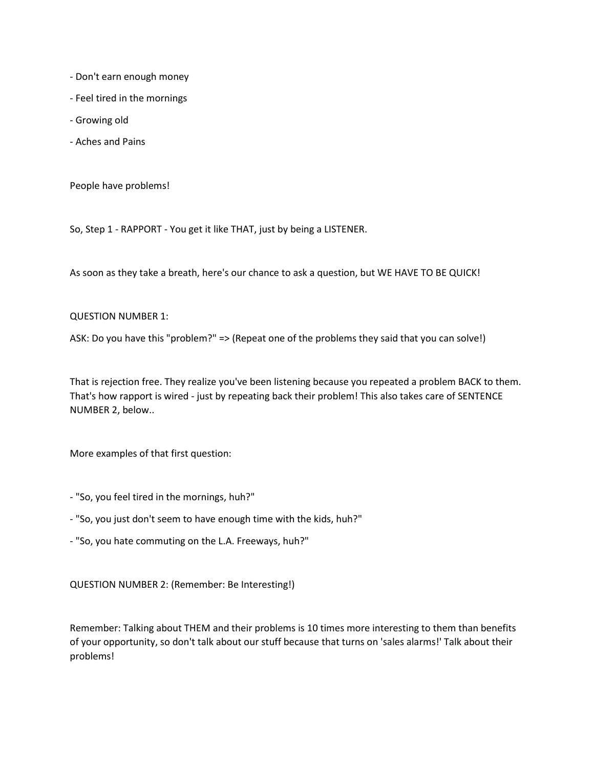- Don't earn enough money
- Feel tired in the mornings
- Growing old
- Aches and Pains

People have problems!

So, Step 1 - RAPPORT - You get it like THAT, just by being a LISTENER.

As soon as they take a breath, here's our chance to ask a question, but WE HAVE TO BE QUICK!

## QUESTION NUMBER 1:

ASK: Do you have this "problem?" => (Repeat one of the problems they said that you can solve!)

That is rejection free. They realize you've been listening because you repeated a problem BACK to them. That's how rapport is wired - just by repeating back their problem! This also takes care of SENTENCE NUMBER 2, below..

More examples of that first question:

- "So, you feel tired in the mornings, huh?"
- "So, you just don't seem to have enough time with the kids, huh?"
- "So, you hate commuting on the L.A. Freeways, huh?"

QUESTION NUMBER 2: (Remember: Be Interesting!)

Remember: Talking about THEM and their problems is 10 times more interesting to them than benefits of your opportunity, so don't talk about our stuff because that turns on 'sales alarms!' Talk about their problems!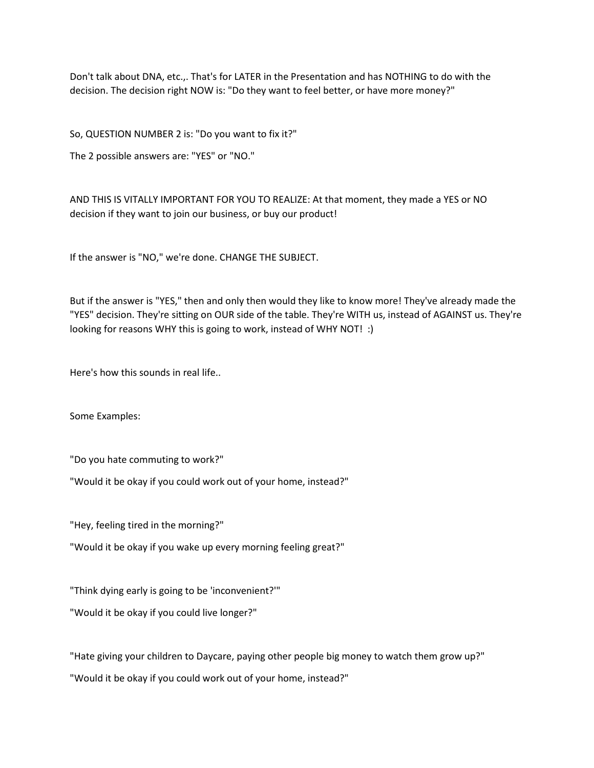Don't talk about DNA, etc.,. That's for LATER in the Presentation and has NOTHING to do with the decision. The decision right NOW is: "Do they want to feel better, or have more money?"

So, QUESTION NUMBER 2 is: "Do you want to fix it?"

The 2 possible answers are: "YES" or "NO."

AND THIS IS VITALLY IMPORTANT FOR YOU TO REALIZE: At that moment, they made a YES or NO decision if they want to join our business, or buy our product!

If the answer is "NO," we're done. CHANGE THE SUBJECT.

But if the answer is "YES," then and only then would they like to know more! They've already made the "YES" decision. They're sitting on OUR side of the table. They're WITH us, instead of AGAINST us. They're looking for reasons WHY this is going to work, instead of WHY NOT! :)

Here's how this sounds in real life..

Some Examples:

"Do you hate commuting to work?"

"Would it be okay if you could work out of your home, instead?"

"Hey, feeling tired in the morning?"

"Would it be okay if you wake up every morning feeling great?"

"Think dying early is going to be 'inconvenient?'"

"Would it be okay if you could live longer?"

"Hate giving your children to Daycare, paying other people big money to watch them grow up?"

"Would it be okay if you could work out of your home, instead?"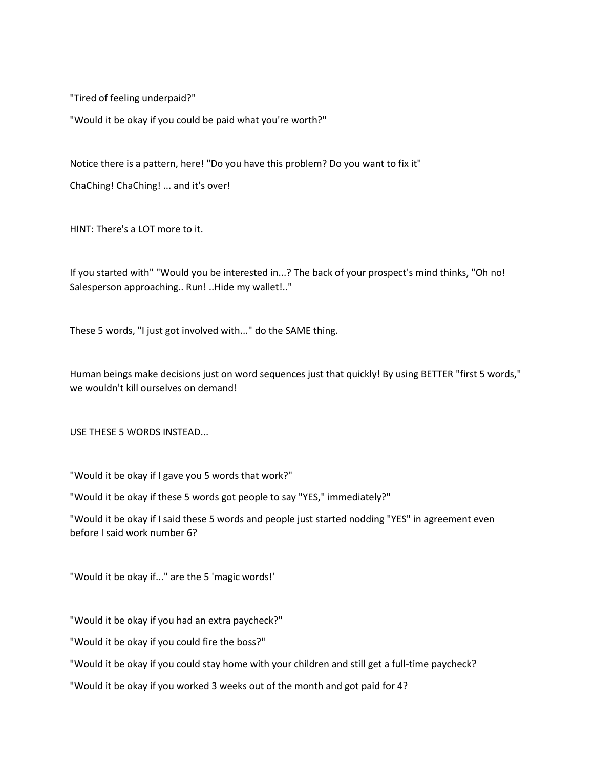"Tired of feeling underpaid?"

"Would it be okay if you could be paid what you're worth?"

Notice there is a pattern, here! "Do you have this problem? Do you want to fix it"

ChaChing! ChaChing! ... and it's over!

HINT: There's a LOT more to it.

If you started with" "Would you be interested in...? The back of your prospect's mind thinks, "Oh no! Salesperson approaching.. Run! ..Hide my wallet!.."

These 5 words, "I just got involved with..." do the SAME thing.

Human beings make decisions just on word sequences just that quickly! By using BETTER "first 5 words," we wouldn't kill ourselves on demand!

USE THESE 5 WORDS INSTEAD...

"Would it be okay if I gave you 5 words that work?"

"Would it be okay if these 5 words got people to say "YES," immediately?"

"Would it be okay if I said these 5 words and people just started nodding "YES" in agreement even before I said work number 6?

"Would it be okay if..." are the 5 'magic words!'

"Would it be okay if you had an extra paycheck?"

"Would it be okay if you could fire the boss?"

"Would it be okay if you could stay home with your children and still get a full-time paycheck?

"Would it be okay if you worked 3 weeks out of the month and got paid for 4?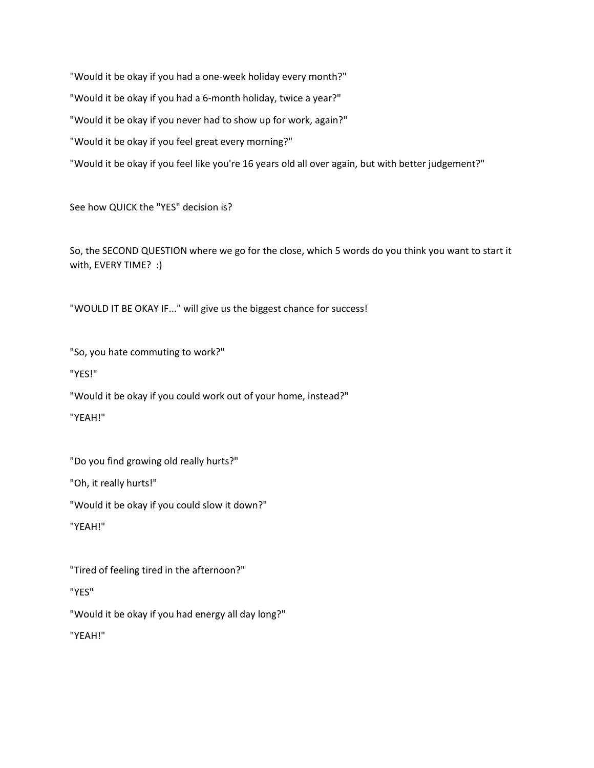"Would it be okay if you had a one-week holiday every month?"

"Would it be okay if you had a 6-month holiday, twice a year?"

"Would it be okay if you never had to show up for work, again?"

"Would it be okay if you feel great every morning?"

"Would it be okay if you feel like you're 16 years old all over again, but with better judgement?"

See how QUICK the "YES" decision is?

So, the SECOND QUESTION where we go for the close, which 5 words do you think you want to start it with, EVERY TIME? :)

"WOULD IT BE OKAY IF..." will give us the biggest chance for success!

"So, you hate commuting to work?"

"YES!"

"Would it be okay if you could work out of your home, instead?"

"YEAH!"

"Do you find growing old really hurts?"

"Oh, it really hurts!"

"Would it be okay if you could slow it down?"

"YEAH!"

"Tired of feeling tired in the afternoon?"

"YES"

"Would it be okay if you had energy all day long?"

"YEAH!"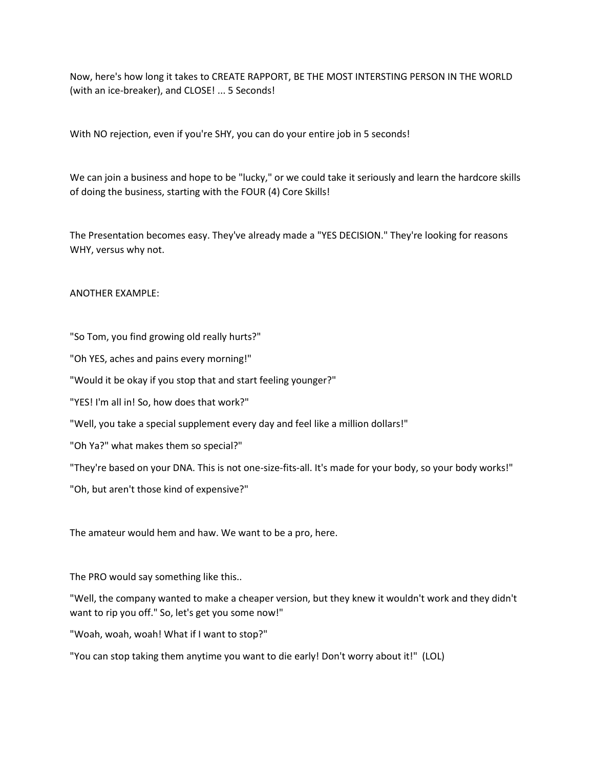Now, here's how long it takes to CREATE RAPPORT, BE THE MOST INTERSTING PERSON IN THE WORLD (with an ice-breaker), and CLOSE! ... 5 Seconds!

With NO rejection, even if you're SHY, you can do your entire job in 5 seconds!

We can join a business and hope to be "lucky," or we could take it seriously and learn the hardcore skills of doing the business, starting with the FOUR (4) Core Skills!

The Presentation becomes easy. They've already made a "YES DECISION." They're looking for reasons WHY, versus why not.

## ANOTHER EXAMPLE:

"So Tom, you find growing old really hurts?"

"Oh YES, aches and pains every morning!"

"Would it be okay if you stop that and start feeling younger?"

"YES! I'm all in! So, how does that work?"

"Well, you take a special supplement every day and feel like a million dollars!"

"Oh Ya?" what makes them so special?"

"They're based on your DNA. This is not one-size-fits-all. It's made for your body, so your body works!"

"Oh, but aren't those kind of expensive?"

The amateur would hem and haw. We want to be a pro, here.

The PRO would say something like this..

"Well, the company wanted to make a cheaper version, but they knew it wouldn't work and they didn't want to rip you off." So, let's get you some now!"

"Woah, woah, woah! What if I want to stop?"

"You can stop taking them anytime you want to die early! Don't worry about it!" (LOL)